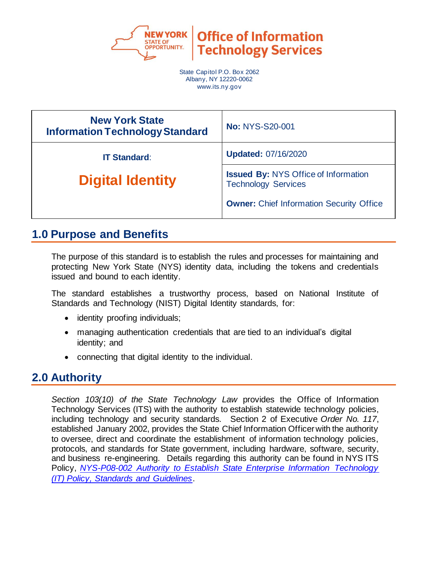

**Office of Information Technology Services** 

State Capitol P.O. Box 2062 Albany, NY 12220-0062 www.its.ny.gov

| <b>New York State</b><br><b>Information Technology Standard</b> | <b>No: NYS-S20-001</b>                                                    |
|-----------------------------------------------------------------|---------------------------------------------------------------------------|
| <b>IT Standard:</b>                                             | <b>Updated: 07/16/2020</b>                                                |
| <b>Digital Identity</b>                                         | <b>Issued By: NYS Office of Information</b><br><b>Technology Services</b> |
|                                                                 | <b>Owner:</b> Chief Information Security Office                           |

### **1.0 Purpose and Benefits**

The purpose of this standard is to establish the rules and processes for maintaining and protecting New York State (NYS) identity data, including the tokens and credentials issued and bound to each identity.

The standard establishes a trustworthy process, based on National Institute of Standards and Technology (NIST) Digital Identity standards, for:

- identity proofing individuals;
- managing authentication credentials that are tied to an individual's digital identity; and
- connecting that digital identity to the individual.

# **2.0 Authority**

*Section 103(10) of the State Technology Law* provides the Office of Information Technology Services (ITS) with the authority to establish statewide technology policies, including technology and security standards. Section 2 of Executive *Order No. 117*, established January 2002, provides the State Chief Information Officer with the authority to oversee, direct and coordinate the establishment of information technology policies, protocols, and standards for State government, including hardware, software, security, and business re-engineering. Details regarding this authority can be found in NYS ITS Policy, *[NYS-P08-002 Authority to Establish State Enterprise Information Technology](https://its.ny.gov/document/authority-establish-state-enterprise-information-technology-it-policy-standards-and-guidelines)  [\(IT\) Policy, Standards and Guidelines](https://its.ny.gov/document/authority-establish-state-enterprise-information-technology-it-policy-standards-and-guidelines)*.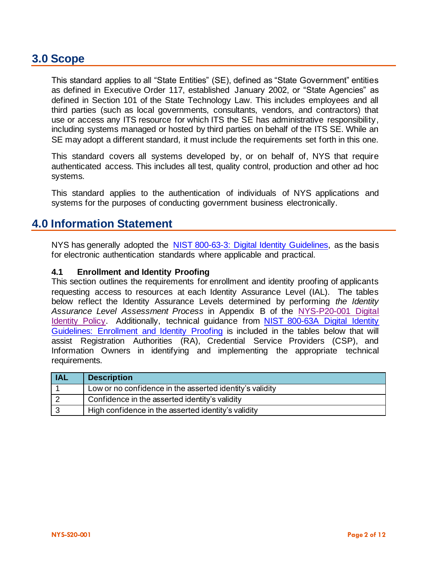### **3.0 Scope**

This standard applies to all "State Entities" (SE), defined as "State Government" entities as defined in Executive Order 117, established January 2002, or "State Agencies" as defined in Section 101 of the State Technology Law. This includes employees and all third parties (such as local governments, consultants, vendors, and contractors) that use or access any ITS resource for which ITS the SE has administrative responsibility, including systems managed or hosted by third parties on behalf of the ITS SE. While an SE may adopt a different standard, it must include the requirements set forth in this one.

This standard covers all systems developed by, or on behalf of, NYS that require authenticated access. This includes all test, quality control, production and other ad hoc systems.

This standard applies to the authentication of individuals of NYS applications and systems for the purposes of conducting government business electronically.

#### **4.0 Information Statement**

NYS has generally adopted the [NIST 800-63-3: Digital Identity Guidelines,](https://csrc.nist.gov/publications/detail/sp/800-63/3/final) as the basis for electronic authentication standards where applicable and practical.

#### **4.1 Enrollment and Identity Proofing**

This section outlines the requirements for enrollment and identity proofing of applicants requesting access to resources at each Identity Assurance Level (IAL). The tables below reflect the Identity Assurance Levels determined by performing *the Identity Assurance Level Assessment Process* in Appendix B of the [NYS-P20-001](https://its.ny.gov/document/identity-assurance-policy) Digital [Identity Policy.](https://its.ny.gov/document/identity-assurance-policy) Additionally, technical guidance from NIST 800-63A Digital Identity [Guidelines: Enrollment and Identity Proofing](https://pages.nist.gov/800-63-3/) is included in the tables below that will assist Registration Authorities (RA), Credential Service Providers (CSP), and Information Owners in identifying and implementing the appropriate technical requirements.

| <b>IAL</b> | <b>Description</b>                                       |
|------------|----------------------------------------------------------|
|            | Low or no confidence in the asserted identity's validity |
|            | Confidence in the asserted identity's validity           |
|            | High confidence in the asserted identity's validity      |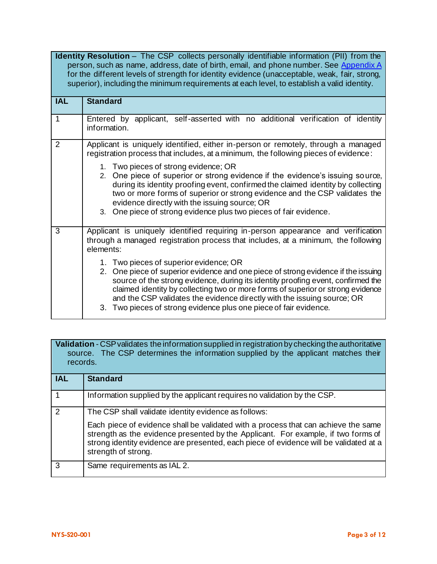**Identity Resolution** – The CSP collects personally identifiable information (PII) from the person, such as name, address, date of birth, email, and phone number. See Appendix A for the different levels of strength for identity evidence (unacceptable, weak, fair, strong, superior), including the minimum requirements at each level, to establish a valid identity.

| <b>IAL</b>     | <b>Standard</b>                                                                                                                                                                                                                                                                                                                                                               |
|----------------|-------------------------------------------------------------------------------------------------------------------------------------------------------------------------------------------------------------------------------------------------------------------------------------------------------------------------------------------------------------------------------|
|                | Entered by applicant, self-asserted with no additional verification of identity<br>information.                                                                                                                                                                                                                                                                               |
| $\overline{2}$ | Applicant is uniquely identified, either in-person or remotely, through a managed<br>registration process that includes, at a minimum, the following pieces of evidence:<br>1. Two pieces of strong evidence; OR                                                                                                                                                              |
|                | 2. One piece of superior or strong evidence if the evidence's issuing source,<br>during its identity proofing event, confirmed the claimed identity by collecting<br>two or more forms of superior or strong evidence and the CSP validates the<br>evidence directly with the issuing source; OR<br>3. One piece of strong evidence plus two pieces of fair evidence.         |
| 3              | Applicant is uniquely identified requiring in-person appearance and verification                                                                                                                                                                                                                                                                                              |
|                | through a managed registration process that includes, at a minimum, the following<br>elements:                                                                                                                                                                                                                                                                                |
|                | 1. Two pieces of superior evidence; OR<br>2. One piece of superior evidence and one piece of strong evidence if the issuing<br>source of the strong evidence, during its identity proofing event, confirmed the<br>claimed identity by collecting two or more forms of superior or strong evidence<br>and the CSP validates the evidence directly with the issuing source; OR |
|                | 3. Two pieces of strong evidence plus one piece of fair evidence.                                                                                                                                                                                                                                                                                                             |

**Validation** - CSP validates the information supplied in registration by checking the authoritative source. The CSP determines the information supplied by the applicant matches their records.

| <b>IAL</b> | <b>Standard</b>                                                                                                                                                                                                                                                                         |
|------------|-----------------------------------------------------------------------------------------------------------------------------------------------------------------------------------------------------------------------------------------------------------------------------------------|
|            | Information supplied by the applicant requires no validation by the CSP.                                                                                                                                                                                                                |
| 2          | The CSP shall validate identity evidence as follows:                                                                                                                                                                                                                                    |
|            | Each piece of evidence shall be validated with a process that can achieve the same<br>strength as the evidence presented by the Applicant. For example, if two forms of<br>strong identity evidence are presented, each piece of evidence will be validated at a<br>strength of strong. |
| 3          | Same requirements as IAL 2.                                                                                                                                                                                                                                                             |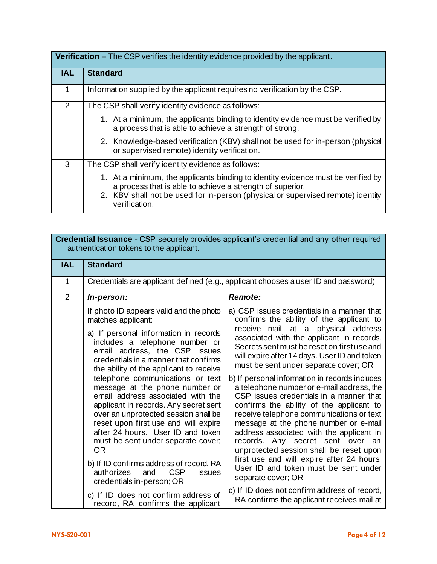|            | <b>Verification</b> – The CSP verifies the identity evidence provided by the applicant.                                                                                                                                                           |  |
|------------|---------------------------------------------------------------------------------------------------------------------------------------------------------------------------------------------------------------------------------------------------|--|
| <b>IAL</b> | <b>Standard</b>                                                                                                                                                                                                                                   |  |
| 1          | Information supplied by the applicant requires no verification by the CSP.                                                                                                                                                                        |  |
| 2          | The CSP shall verify identity evidence as follows:                                                                                                                                                                                                |  |
|            | 1. At a minimum, the applicants binding to identity evidence must be verified by<br>a process that is able to achieve a strength of strong.                                                                                                       |  |
|            | 2. Knowledge-based verification (KBV) shall not be used for in-person (physical<br>or supervised remote) identity verification.                                                                                                                   |  |
| 3          | The CSP shall verify identity evidence as follows:                                                                                                                                                                                                |  |
|            | 1. At a minimum, the applicants binding to identity evidence must be verified by<br>a process that is able to achieve a strength of superior.<br>2. KBV shall not be used for in-person (physical or supervised remote) identity<br>verification. |  |

|                | authentication tokens to the applicant.                                                                                                                                                                                                                                                                                  | <b>Credential Issuance</b> - CSP securely provides applicant's credential and any other required                                                                                                                                                                                                                                                                                                   |
|----------------|--------------------------------------------------------------------------------------------------------------------------------------------------------------------------------------------------------------------------------------------------------------------------------------------------------------------------|----------------------------------------------------------------------------------------------------------------------------------------------------------------------------------------------------------------------------------------------------------------------------------------------------------------------------------------------------------------------------------------------------|
| <b>IAL</b>     | <b>Standard</b>                                                                                                                                                                                                                                                                                                          |                                                                                                                                                                                                                                                                                                                                                                                                    |
| 1              |                                                                                                                                                                                                                                                                                                                          | Credentials are applicant defined (e.g., applicant chooses a user ID and password)                                                                                                                                                                                                                                                                                                                 |
| $\overline{2}$ | In-person:                                                                                                                                                                                                                                                                                                               | Remote:                                                                                                                                                                                                                                                                                                                                                                                            |
|                | If photo ID appears valid and the photo<br>matches applicant:                                                                                                                                                                                                                                                            | a) CSP issues credentials in a manner that<br>confirms the ability of the applicant to                                                                                                                                                                                                                                                                                                             |
|                | a) If personal information in records<br>includes a telephone number or<br>email address, the CSP issues<br>credentials in a manner that confirms<br>the ability of the applicant to receive                                                                                                                             | receive mail at a physical address<br>associated with the applicant in records.<br>Secrets sent must be reset on first use and<br>will expire after 14 days. User ID and token<br>must be sent under separate cover; OR                                                                                                                                                                            |
|                | telephone communications or text<br>message at the phone number or<br>email address associated with the<br>applicant in records. Any secret sent<br>over an unprotected session shall be<br>reset upon first use and will expire<br>after 24 hours. User ID and token<br>must be sent under separate cover;<br><b>OR</b> | b) If personal information in records includes<br>a telephone number or e-mail address, the<br>CSP issues credentials in a manner that<br>confirms the ability of the applicant to<br>receive telephone communications or text<br>message at the phone number or e-mail<br>address associated with the applicant in<br>records. Any secret sent over an<br>unprotected session shall be reset upon |
|                | b) If ID confirms address of record, RA<br>authorizes<br><b>CSP</b><br>issues<br>and<br>credentials in-person; OR                                                                                                                                                                                                        | first use and will expire after 24 hours.<br>User ID and token must be sent under<br>separate cover; OR                                                                                                                                                                                                                                                                                            |
|                | c) If ID does not confirm address of<br>record, RA confirms the applicant                                                                                                                                                                                                                                                | c) If ID does not confirm address of record,<br>RA confirms the applicant receives mail at                                                                                                                                                                                                                                                                                                         |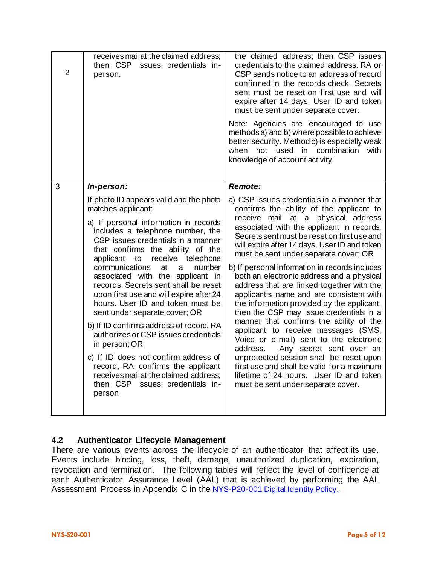| 3<br><b>Remote:</b><br>In-person:<br>If photo ID appears valid and the photo<br>matches applicant:                                                                                                                                                                                                                                                                                                                                                                                                                                                                                                                                                                                                          | receives mail at the claimed address;<br>then CSP issues credentials in-<br>$\overline{2}$<br>person. | the claimed address; then CSP issues<br>credentials to the claimed address. RA or<br>CSP sends notice to an address of record<br>confirmed in the records check. Secrets<br>sent must be reset on first use and will<br>expire after 14 days. User ID and token<br>must be sent under separate cover.<br>Note: Agencies are encouraged to use<br>methods a) and b) where possible to achieve<br>better security. Method c) is especially weak<br>when not used in combination<br>with<br>knowledge of account activity.                                                                                                                                                                                                                                                                                                                                                                        |
|-------------------------------------------------------------------------------------------------------------------------------------------------------------------------------------------------------------------------------------------------------------------------------------------------------------------------------------------------------------------------------------------------------------------------------------------------------------------------------------------------------------------------------------------------------------------------------------------------------------------------------------------------------------------------------------------------------------|-------------------------------------------------------------------------------------------------------|------------------------------------------------------------------------------------------------------------------------------------------------------------------------------------------------------------------------------------------------------------------------------------------------------------------------------------------------------------------------------------------------------------------------------------------------------------------------------------------------------------------------------------------------------------------------------------------------------------------------------------------------------------------------------------------------------------------------------------------------------------------------------------------------------------------------------------------------------------------------------------------------|
| includes a telephone number, the<br>CSP issues credentials in a manner<br>that confirms the ability of the<br>applicant to<br>receive telephone<br>communications<br>at<br>number<br>a<br>associated with the applicant in<br>records. Secrets sent shall be reset<br>upon first use and will expire after 24<br>hours. User ID and token must be<br>sent under separate cover; OR<br>b) If ID confirms address of record, RA<br>authorizes or CSP issues credentials<br>in person; OR<br>address.<br>c) If ID does not confirm address of<br>record, RA confirms the applicant<br>receives mail at the claimed address;<br>then CSP issues credentials in-<br>must be sent under separate cover.<br>person | a) If personal information in records                                                                 | a) CSP issues credentials in a manner that<br>confirms the ability of the applicant to<br>receive mail at a physical address<br>associated with the applicant in records.<br>Secrets sent must be reset on first use and<br>will expire after 14 days. User ID and token<br>must be sent under separate cover; OR<br>b) If personal information in records includes<br>both an electronic address and a physical<br>address that are linked together with the<br>applicant's name and are consistent with<br>the information provided by the applicant,<br>then the CSP may issue credentials in a<br>manner that confirms the ability of the<br>applicant to receive messages (SMS,<br>Voice or e-mail) sent to the electronic<br>Any secret sent over an<br>unprotected session shall be reset upon<br>first use and shall be valid for a maximum<br>lifetime of 24 hours. User ID and token |

#### **4.2 Authenticator Lifecycle Management**

There are various events across the lifecycle of an authenticator that affect its use. Events include binding, loss, theft, damage, unauthorized duplication, expiration, revocation and termination. The following tables will reflect the level of confidence at each Authenticator Assurance Level (AAL) that is achieved by performing the AAL Assessment Process in Appendix C in the NYS-P20-001 [Digital Identity Policy.](https://its.ny.gov/document/identity-assurance-policy)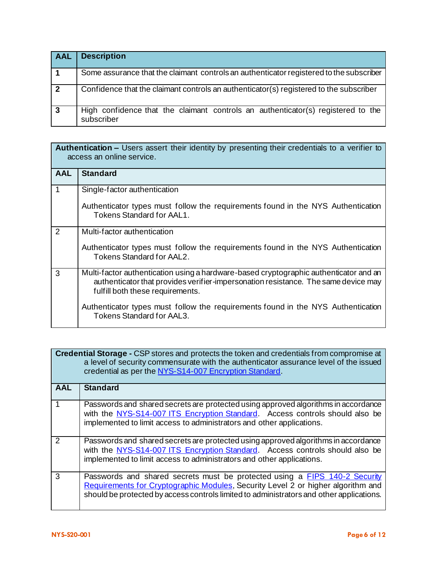| <b>AAL</b>     | <b>Description</b>                                                                             |
|----------------|------------------------------------------------------------------------------------------------|
|                | Some assurance that the claimant controls an authenticator registered to the subscriber        |
| $\overline{2}$ | Confidence that the claimant controls an authenticator(s) registered to the subscriber         |
| $\mathbf{3}$   | High confidence that the claimant controls an authenticator(s) registered to the<br>subscriber |

| <b>Authentication –</b> Users assert their identity by presenting their credentials to a verifier to<br>access an online service. |                                                                                                                                                                                                                 |
|-----------------------------------------------------------------------------------------------------------------------------------|-----------------------------------------------------------------------------------------------------------------------------------------------------------------------------------------------------------------|
| <b>AAL</b>                                                                                                                        | <b>Standard</b>                                                                                                                                                                                                 |
| $\overline{1}$                                                                                                                    | Single-factor authentication                                                                                                                                                                                    |
|                                                                                                                                   | Authenticator types must follow the requirements found in the NYS Authentication<br>Tokens Standard for AAL1.                                                                                                   |
| 2                                                                                                                                 | Multi-factor authentication                                                                                                                                                                                     |
|                                                                                                                                   | Authenticator types must follow the requirements found in the NYS Authentication<br>Tokens Standard for AAL2.                                                                                                   |
| 3                                                                                                                                 | Multi-factor authentication using a hardware-based cryptographic authenticator and an<br>authenticator that provides verifier-impersonation resistance. The same device may<br>fulfill both these requirements. |
|                                                                                                                                   | Authenticator types must follow the requirements found in the NYS Authentication<br>Tokens Standard for AAL3.                                                                                                   |

|                | <b>Credential Storage - CSP stores and protects the token and credentials from compromise at</b><br>a level of security commensurate with the authenticator assurance level of the issued<br>credential as per the NYS-S14-007 Encryption Standard.        |
|----------------|------------------------------------------------------------------------------------------------------------------------------------------------------------------------------------------------------------------------------------------------------------|
| AAL            | <b>Standard</b>                                                                                                                                                                                                                                            |
| $\overline{1}$ | Passwords and shared secrets are protected using approved algorithms in accordance<br>with the NYS-S14-007 ITS Encryption Standard. Access controls should also be<br>implemented to limit access to administrators and other applications.                |
| $\overline{2}$ | Passwords and shared secrets are protected using approved algorithms in accordance<br>with the NYS-S14-007 ITS Encryption Standard. Access controls should also be<br>implemented to limit access to administrators and other applications.                |
| 3              | Passwords and shared secrets must be protected using a FIPS 140-2 Security<br>Requirements for Cryptographic Modules, Security Level 2 or higher algorithm and<br>should be protected by access controls limited to administrators and other applications. |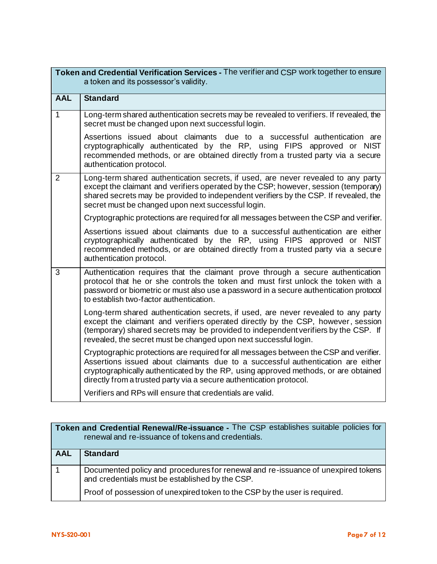| Token and Credential Verification Services - The verifier and CSP work together to ensure<br>a token and its possessor's validity. |                                                                                                                                                                                                                                                                                                                                       |
|------------------------------------------------------------------------------------------------------------------------------------|---------------------------------------------------------------------------------------------------------------------------------------------------------------------------------------------------------------------------------------------------------------------------------------------------------------------------------------|
| <b>AAL</b>                                                                                                                         | <b>Standard</b>                                                                                                                                                                                                                                                                                                                       |
| $\mathbf{1}$                                                                                                                       | Long-term shared authentication secrets may be revealed to verifiers. If revealed, the<br>secret must be changed upon next successful login.                                                                                                                                                                                          |
|                                                                                                                                    | Assertions issued about claimants due to a successful authentication are<br>cryptographically authenticated by the RP, using FIPS approved or NIST<br>recommended methods, or are obtained directly from a trusted party via a secure<br>authentication protocol.                                                                     |
| $\overline{2}$                                                                                                                     | Long-term shared authentication secrets, if used, are never revealed to any party<br>except the claimant and verifiers operated by the CSP; however, session (temporary)<br>shared secrets may be provided to independent verifiers by the CSP. If revealed, the<br>secret must be changed upon next successful login.                |
|                                                                                                                                    | Cryptographic protections are required for all messages between the CSP and verifier.                                                                                                                                                                                                                                                 |
|                                                                                                                                    | Assertions issued about claimants due to a successful authentication are either<br>cryptographically authenticated by the RP, using FIPS approved or NIST<br>recommended methods, or are obtained directly from a trusted party via a secure<br>authentication protocol.                                                              |
| 3                                                                                                                                  | Authentication requires that the claimant prove through a secure authentication<br>protocol that he or she controls the token and must first unlock the token with a<br>password or biometric or must also use a password in a secure authentication protocol<br>to establish two-factor authentication.                              |
|                                                                                                                                    | Long-term shared authentication secrets, if used, are never revealed to any party<br>except the claimant and verifiers operated directly by the CSP, however, session<br>(temporary) shared secrets may be provided to independent verifiers by the CSP. If<br>revealed, the secret must be changed upon next successful login.       |
|                                                                                                                                    | Cryptographic protections are required for all messages between the CSP and verifier.<br>Assertions issued about claimants due to a successful authentication are either<br>cryptographically authenticated by the RP, using approved methods, or are obtained<br>directly from a trusted party via a secure authentication protocol. |
|                                                                                                                                    | Verifiers and RPs will ensure that credentials are valid.                                                                                                                                                                                                                                                                             |

|     | Token and Credential Renewal/Re-issuance - The CSP establishes suitable policies for<br>renewal and re-issuance of tokens and credentials. |
|-----|--------------------------------------------------------------------------------------------------------------------------------------------|
| AAL | <b>Standard</b>                                                                                                                            |
|     | Documented policy and procedures for renewal and re-issuance of unexpired tokens<br>and credentials must be established by the CSP.        |
|     | Proof of possession of unexpired token to the CSP by the user is required.                                                                 |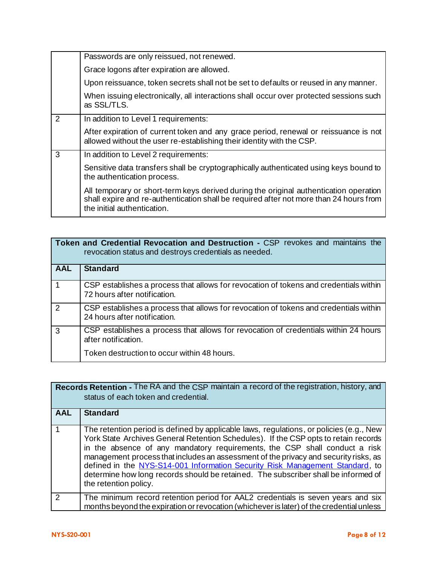|   | Passwords are only reissued, not renewed.                                                                                                                                                                      |
|---|----------------------------------------------------------------------------------------------------------------------------------------------------------------------------------------------------------------|
|   | Grace logons after expiration are allowed.                                                                                                                                                                     |
|   | Upon reissuance, token secrets shall not be set to defaults or reused in any manner.                                                                                                                           |
|   | When issuing electronically, all interactions shall occur over protected sessions such<br>as SSL/TLS.                                                                                                          |
| 2 | In addition to Level 1 requirements:                                                                                                                                                                           |
|   | After expiration of current token and any grace period, renewal or reissuance is not<br>allowed without the user re-establishing their identity with the CSP.                                                  |
| 3 | In addition to Level 2 requirements:                                                                                                                                                                           |
|   | Sensitive data transfers shall be cryptographically authenticated using keys bound to<br>the authentication process.                                                                                           |
|   | All temporary or short-term keys derived during the original authentication operation<br>shall expire and re-authentication shall be required after not more than 24 hours from<br>the initial authentication. |

| <b>Token and Credential Revocation and Destruction - CSP revokes and maintains the</b><br>revocation status and destroys credentials as needed. |                                                                                                                       |
|-------------------------------------------------------------------------------------------------------------------------------------------------|-----------------------------------------------------------------------------------------------------------------------|
| AAL                                                                                                                                             | <b>Standard</b>                                                                                                       |
| $\overline{1}$                                                                                                                                  | CSP establishes a process that allows for revocation of tokens and credentials within<br>72 hours after notification. |
| $\overline{2}$                                                                                                                                  | CSP establishes a process that allows for revocation of tokens and credentials within<br>24 hours after notification. |
| $\mathbf{3}$                                                                                                                                    | CSP establishes a process that allows for revocation of credentials within 24 hours<br>after notification.            |
|                                                                                                                                                 | Token destruction to occur within 48 hours.                                                                           |

| <b>Records Retention - The RA and the CSP maintain a record of the registration, history, and</b><br>status of each token and credential. |                                                                                                                                                                                                                                                                                                                                                                                                                                                                                                                                                     |  |
|-------------------------------------------------------------------------------------------------------------------------------------------|-----------------------------------------------------------------------------------------------------------------------------------------------------------------------------------------------------------------------------------------------------------------------------------------------------------------------------------------------------------------------------------------------------------------------------------------------------------------------------------------------------------------------------------------------------|--|
| <b>AAL</b>                                                                                                                                | <b>Standard</b>                                                                                                                                                                                                                                                                                                                                                                                                                                                                                                                                     |  |
|                                                                                                                                           | The retention period is defined by applicable laws, regulations, or policies (e.g., New<br>York State Archives General Retention Schedules). If the CSP opts to retain records<br>in the absence of any mandatory requirements, the CSP shall conduct a risk<br>management process that includes an assessment of the privacy and security risks, as<br>defined in the NYS-S14-001 Information Security Risk Management Standard, to<br>determine how long records should be retained. The subscriber shall be informed of<br>the retention policy. |  |
| $\mathcal{P}$                                                                                                                             | The minimum record retention period for AAL2 credentials is seven years and six<br>months beyond the expiration or revocation (whichever is later) of the credential unless                                                                                                                                                                                                                                                                                                                                                                         |  |
|                                                                                                                                           |                                                                                                                                                                                                                                                                                                                                                                                                                                                                                                                                                     |  |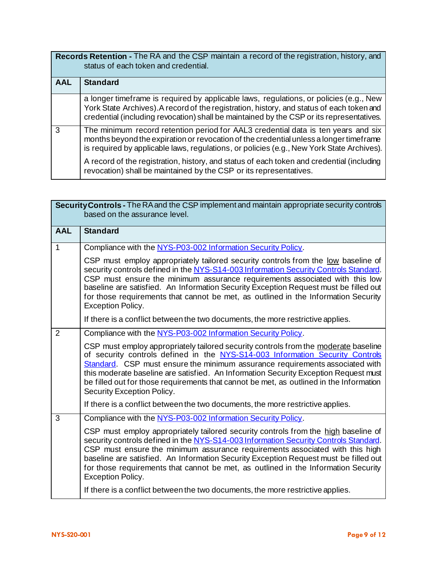| Records Retention - The RA and the CSP maintain a record of the registration, history, and<br>status of each token and credential. |                                                                                                                                                                                                                                                                                 |  |
|------------------------------------------------------------------------------------------------------------------------------------|---------------------------------------------------------------------------------------------------------------------------------------------------------------------------------------------------------------------------------------------------------------------------------|--|
| <b>AAL</b>                                                                                                                         | <b>Standard</b>                                                                                                                                                                                                                                                                 |  |
|                                                                                                                                    | a longer timeframe is required by applicable laws, regulations, or policies (e.g., New<br>York State Archives). A record of the registration, history, and status of each token and<br>credential (including revocation) shall be maintained by the CSP or its representatives. |  |
| 3                                                                                                                                  | The minimum record retention period for AAL3 credential data is ten years and six<br>months beyond the expiration or revocation of the credential unless a longer timeframe<br>is required by applicable laws, regulations, or policies (e.g., New York State Archives).        |  |
|                                                                                                                                    | A record of the registration, history, and status of each token and credential (including<br>revocation) shall be maintained by the CSP or its representatives.                                                                                                                 |  |

| Security Controls - The RA and the CSP implement and maintain appropriate security controls<br>based on the assurance level. |                                                                                                                                                                                                                                                                                                                                                                                                                                                                       |  |
|------------------------------------------------------------------------------------------------------------------------------|-----------------------------------------------------------------------------------------------------------------------------------------------------------------------------------------------------------------------------------------------------------------------------------------------------------------------------------------------------------------------------------------------------------------------------------------------------------------------|--|
| <b>AAL</b>                                                                                                                   | <b>Standard</b>                                                                                                                                                                                                                                                                                                                                                                                                                                                       |  |
| $\mathbf{1}$                                                                                                                 | Compliance with the NYS-P03-002 Information Security Policy.                                                                                                                                                                                                                                                                                                                                                                                                          |  |
|                                                                                                                              | CSP must employ appropriately tailored security controls from the low baseline of<br>security controls defined in the NYS-S14-003 Information Security Controls Standard.<br>CSP must ensure the minimum assurance requirements associated with this low<br>baseline are satisfied. An Information Security Exception Request must be filled out<br>for those requirements that cannot be met, as outlined in the Information Security<br><b>Exception Policy.</b>    |  |
|                                                                                                                              | If there is a conflict between the two documents, the more restrictive applies.                                                                                                                                                                                                                                                                                                                                                                                       |  |
| $\overline{2}$                                                                                                               | Compliance with the NYS-P03-002 Information Security Policy.                                                                                                                                                                                                                                                                                                                                                                                                          |  |
|                                                                                                                              | CSP must employ appropriately tailored security controls from the moderate baseline<br>of security controls defined in the NYS-S14-003 Information Security Controls<br>Standard. CSP must ensure the minimum assurance requirements associated with<br>this moderate baseline are satisfied. An Information Security Exception Request must<br>be filled out for those requirements that cannot be met, as outlined in the Information<br>Security Exception Policy. |  |
|                                                                                                                              | If there is a conflict between the two documents, the more restrictive applies.                                                                                                                                                                                                                                                                                                                                                                                       |  |
| $\overline{3}$                                                                                                               | Compliance with the NYS-P03-002 Information Security Policy.                                                                                                                                                                                                                                                                                                                                                                                                          |  |
|                                                                                                                              | CSP must employ appropriately tailored security controls from the high baseline of<br>security controls defined in the NYS-S14-003 Information Security Controls Standard.<br>CSP must ensure the minimum assurance requirements associated with this high<br>baseline are satisfied. An Information Security Exception Request must be filled out<br>for those requirements that cannot be met, as outlined in the Information Security<br><b>Exception Policy.</b>  |  |
|                                                                                                                              | If there is a conflict between the two documents, the more restrictive applies.                                                                                                                                                                                                                                                                                                                                                                                       |  |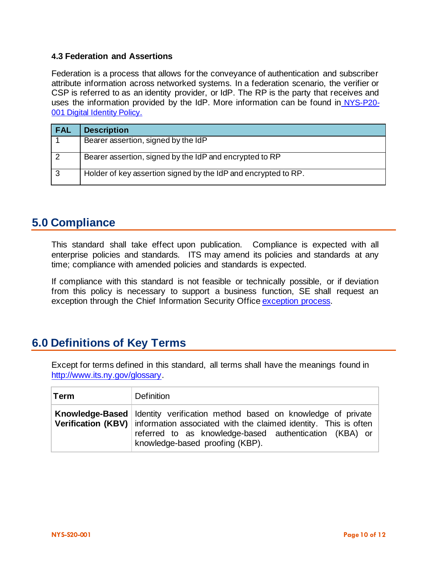#### **4.3 Federation and Assertions**

Federation is a process that allows for the conveyance of authentication and subscriber attribute information across networked systems. In a federation scenario, the verifier or CSP is referred to as an identity provider, or IdP. The RP is the party that receives and uses the information provided by the IdP. More information can be found in [NYS-P20-](https://its.ny.gov/document/identity-assurance-policy) [001](https://its.ny.gov/document/identity-assurance-policy) [Digital Identity Policy.](https://its.ny.gov/tables/technologypolicyindex)

| <b>FAL</b> | <b>Description</b>                                             |
|------------|----------------------------------------------------------------|
|            | Bearer assertion, signed by the IdP                            |
| -2         | Bearer assertion, signed by the IdP and encrypted to RP        |
| 3          | Holder of key assertion signed by the IdP and encrypted to RP. |

# **5.0 Compliance**

This standard shall take effect upon publication. Compliance is expected with all enterprise policies and standards. ITS may amend its policies and standards at any time; compliance with amended policies and standards is expected.

If compliance with this standard is not feasible or technically possible, or if deviation from this policy is necessary to support a business function, SE shall request an exception through the Chief Information Security Offic[e exception process.](http://www.its.ny.gov/document/information-security-exception-policy)

### **6.0 Definitions of Key Terms**

Except for terms defined in this standard, all terms shall have the meanings found in [http://www.its.ny.gov/glossary.](http://www.its.ny.gov/glossary)

| <b>Term</b> | Definition                                                                                                                                                                                                                                                                  |
|-------------|-----------------------------------------------------------------------------------------------------------------------------------------------------------------------------------------------------------------------------------------------------------------------------|
|             | <b>Knowledge-Based</b> Identity verification method based on knowledge of private<br><b>Verification (KBV)</b> information associated with the claimed identity. This is often<br>referred to as knowledge-based authentication (KBA) or<br>knowledge-based proofing (KBP). |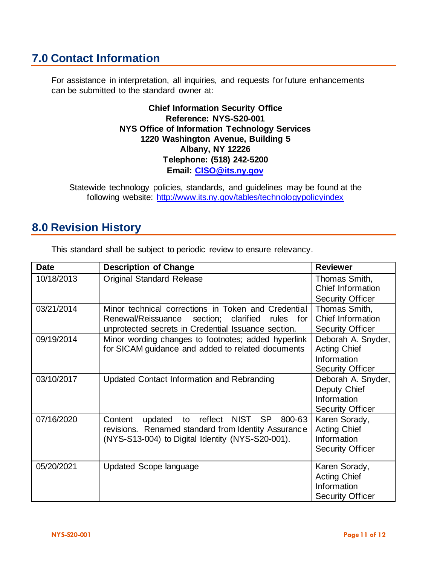# **7.0 Contact Information**

For assistance in interpretation, all inquiries, and requests for future enhancements can be submitted to the standard owner at:

> **Chief Information Security Office Reference: NYS-S20-001 NYS Office of Information Technology Services 1220 Washington Avenue, Building 5 Albany, NY 12226 Telephone: (518) 242-5200 Email: [CISO@its.ny.gov](mailto:CISO@its.ny.gov)**

Statewide technology policies, standards, and guidelines may be found at the following website: <http://www.its.ny.gov/tables/technologypolicyindex>

### **8.0 Revision History**

| <b>Date</b> | <b>Description of Change</b>                                                                                                                                                  | <b>Reviewer</b>                                                                     |
|-------------|-------------------------------------------------------------------------------------------------------------------------------------------------------------------------------|-------------------------------------------------------------------------------------|
| 10/18/2013  | <b>Original Standard Release</b>                                                                                                                                              | Thomas Smith,<br>Chief Information                                                  |
|             |                                                                                                                                                                               | <b>Security Officer</b>                                                             |
| 03/21/2014  | Minor technical corrections in Token and Credential<br>Renewal/Reissuance section; clarified<br>rules for<br>unprotected secrets in Credential Issuance section.              | Thomas Smith,<br>Chief Information<br><b>Security Officer</b>                       |
| 09/19/2014  | Minor wording changes to footnotes; added hyperlink<br>for SICAM guidance and added to related documents                                                                      | Deborah A. Snyder,<br><b>Acting Chief</b><br>Information<br><b>Security Officer</b> |
| 03/10/2017  | Updated Contact Information and Rebranding                                                                                                                                    | Deborah A. Snyder,<br>Deputy Chief<br>Information<br><b>Security Officer</b>        |
| 07/16/2020  | <b>SP</b><br>NIST<br>800-63<br>Content<br>reflect<br>updated<br>to<br>revisions. Renamed standard from Identity Assurance<br>(NYS-S13-004) to Digital Identity (NYS-S20-001). | Karen Sorady,<br><b>Acting Chief</b><br>Information<br><b>Security Officer</b>      |
| 05/20/2021  | <b>Updated Scope language</b>                                                                                                                                                 | Karen Sorady,<br><b>Acting Chief</b><br>Information<br><b>Security Officer</b>      |

This standard shall be subject to periodic review to ensure relevancy.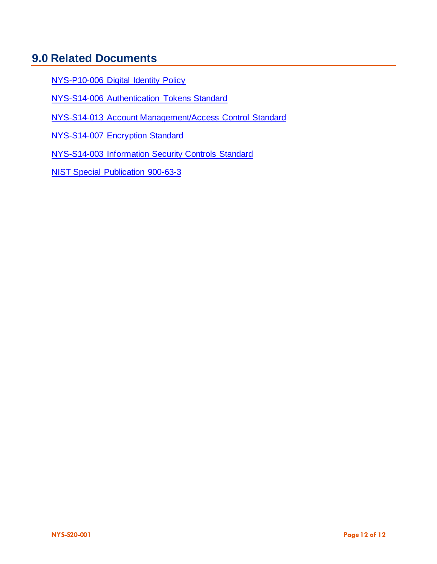# **9.0 Related Documents**

NYS-P10-006 [Digital Identity Policy](https://its.ny.gov/document/identity-assurance-policy)

NYS-S14-006 [Authentication Tokens Standard](https://its.ny.gov/document/authentication-tokens-standard)

NYS-S14-013 [Account Management/Access Control Standard](https://its.ny.gov/document/account-management-access-control-standard)

NYS-S14-007 [Encryption Standard](https://its.ny.gov/document/encryption-standard)

NYS-S14-003 [Information Security Controls Standard](https://its.ny.gov/document/information-security-controls-standard)

[NIST Special Publication 900-63-3](https://pages.nist.gov/800-63-3/sp800-63-3.html)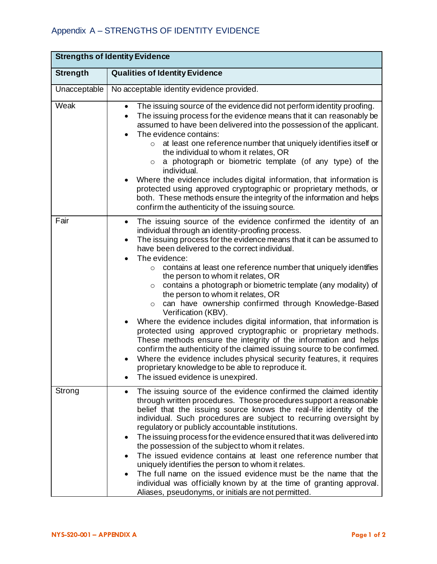| <b>Strengths of Identity Evidence</b> |                                                                                                                                                                                                                                                                                                                                                                                                                                                                                                                                                                                                                                                                                                                                                                                                                                                                                                                                                                                                                                                                                              |  |
|---------------------------------------|----------------------------------------------------------------------------------------------------------------------------------------------------------------------------------------------------------------------------------------------------------------------------------------------------------------------------------------------------------------------------------------------------------------------------------------------------------------------------------------------------------------------------------------------------------------------------------------------------------------------------------------------------------------------------------------------------------------------------------------------------------------------------------------------------------------------------------------------------------------------------------------------------------------------------------------------------------------------------------------------------------------------------------------------------------------------------------------------|--|
| <b>Strength</b>                       | <b>Qualities of Identity Evidence</b>                                                                                                                                                                                                                                                                                                                                                                                                                                                                                                                                                                                                                                                                                                                                                                                                                                                                                                                                                                                                                                                        |  |
| Unacceptable                          | No acceptable identity evidence provided.                                                                                                                                                                                                                                                                                                                                                                                                                                                                                                                                                                                                                                                                                                                                                                                                                                                                                                                                                                                                                                                    |  |
| Weak                                  | The issuing source of the evidence did not perform identity proofing.<br>$\bullet$<br>The issuing process for the evidence means that it can reasonably be<br>$\bullet$<br>assumed to have been delivered into the possession of the applicant.<br>The evidence contains:<br>at least one reference number that uniquely identifies itself or<br>$\circ$<br>the individual to whom it relates, OR<br>a photograph or biometric template (of any type) of the<br>$\circ$<br>individual.<br>Where the evidence includes digital information, that information is<br>protected using approved cryptographic or proprietary methods, or<br>both. These methods ensure the integrity of the information and helps<br>confirm the authenticity of the issuing source.                                                                                                                                                                                                                                                                                                                              |  |
| Fair                                  | The issuing source of the evidence confirmed the identity of an<br>$\bullet$<br>individual through an identity-proofing process.<br>The issuing process for the evidence means that it can be assumed to<br>$\bullet$<br>have been delivered to the correct individual.<br>The evidence:<br>contains at least one reference number that uniquely identifies<br>$\circ$<br>the person to whom it relates, OR<br>contains a photograph or biometric template (any modality) of<br>$\circ$<br>the person to whom it relates, OR<br>can have ownership confirmed through Knowledge-Based<br>$\circ$<br>Verification (KBV).<br>Where the evidence includes digital information, that information is<br>$\bullet$<br>protected using approved cryptographic or proprietary methods.<br>These methods ensure the integrity of the information and helps<br>confirm the authenticity of the claimed issuing source to be confirmed.<br>Where the evidence includes physical security features, it requires<br>proprietary knowledge to be able to reproduce it.<br>The issued evidence is unexpired. |  |
| Strong                                | The issuing source of the evidence confirmed the claimed identity<br>$\bullet$<br>through written procedures. Those procedures support a reasonable<br>belief that the issuing source knows the real-life identity of the<br>individual. Such procedures are subject to recurring oversight by<br>regulatory or publicly accountable institutions.<br>The issuing process for the evidence ensured that it was delivered into<br>٠<br>the possession of the subject to whom it relates.<br>The issued evidence contains at least one reference number that<br>uniquely identifies the person to whom it relates.<br>The full name on the issued evidence must be the name that the<br>individual was officially known by at the time of granting approval.<br>Aliases, pseudonyms, or initials are not permitted.                                                                                                                                                                                                                                                                            |  |